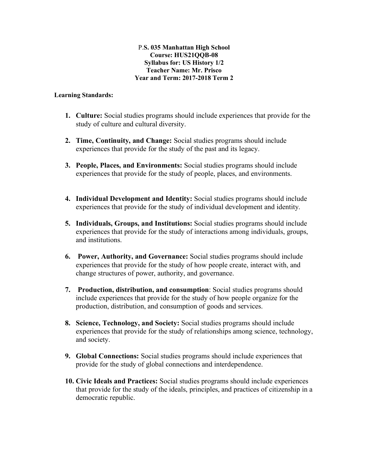#### P.**S. 035 Manhattan High School Course: HUS21QQB-08 Syllabus for: US History 1/2 Teacher Name: Mr. Prisco Year and Term: 2017-2018 Term 2**

#### **Learning Standards:**

- **1. Culture:** Social studies programs should include experiences that provide for the study of culture and cultural diversity.
- **2. Time, Continuity, and Change:** Social studies programs should include experiences that provide for the study of the past and its legacy.
- **3. People, Places, and Environments:** Social studies programs should include experiences that provide for the study of people, places, and environments.
- **4. Individual Development and Identity:** Social studies programs should include experiences that provide for the study of individual development and identity.
- **5. Individuals, Groups, and Institutions:** Social studies programs should include experiences that provide for the study of interactions among individuals, groups, and institutions.
- **6. Power, Authority, and Governance:** Social studies programs should include experiences that provide for the study of how people create, interact with, and change structures of power, authority, and governance.
- **7. Production, distribution, and consumption**: Social studies programs should include experiences that provide for the study of how people organize for the production, distribution, and consumption of goods and services.
- **8. Science, Technology, and Society:** Social studies programs should include experiences that provide for the study of relationships among science, technology, and society.
- **9. Global Connections:** Social studies programs should include experiences that provide for the study of global connections and interdependence.
- **10. Civic Ideals and Practices:** Social studies programs should include experiences that provide for the study of the ideals, principles, and practices of citizenship in a democratic republic.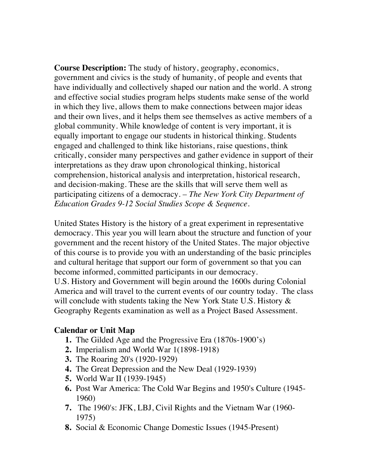**Course Description:** The study of history, geography, economics, government and civics is the study of humanity, of people and events that have individually and collectively shaped our nation and the world. A strong and effective social studies program helps students make sense of the world in which they live, allows them to make connections between major ideas and their own lives, and it helps them see themselves as active members of a global community. While knowledge of content is very important, it is equally important to engage our students in historical thinking. Students engaged and challenged to think like historians, raise questions, think critically, consider many perspectives and gather evidence in support of their interpretations as they draw upon chronological thinking, historical comprehension, historical analysis and interpretation, historical research, and decision-making. These are the skills that will serve them well as participating citizens of a democracy*. – The New York City Department of Education Grades 9-12 Social Studies Scope & Sequence.* 

United States History is the history of a great experiment in representative democracy. This year you will learn about the structure and function of your government and the recent history of the United States. The major objective of this course is to provide you with an understanding of the basic principles and cultural heritage that support our form of government so that you can become informed, committed participants in our democracy.

U.S. History and Government will begin around the 1600s during Colonial America and will travel to the current events of our country today. The class will conclude with students taking the New York State U.S. History  $\&$ Geography Regents examination as well as a Project Based Assessment.

### **Calendar or Unit Map**

- **1.** The Gilded Age and the Progressive Era (1870s-1900's)
- **2.** Imperialism and World War 1(1898-1918)
- **3.** The Roaring 20's (1920-1929)
- **4.** The Great Depression and the New Deal (1929-1939)
- **5.** World War II (1939-1945)
- **6.** Post War America: The Cold War Begins and 1950's Culture (1945- 1960)
- **7.** The 1960's: JFK, LBJ, Civil Rights and the Vietnam War (1960- 1975)
- **8.** Social & Economic Change Domestic Issues (1945-Present)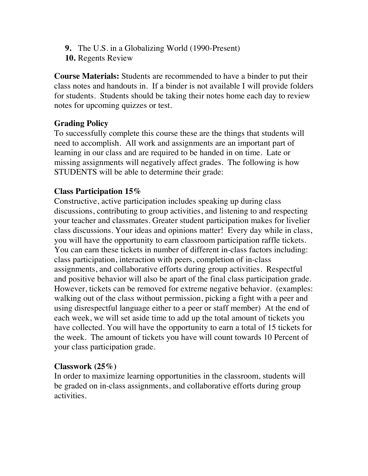- **9.** The U.S. in a Globalizing World (1990-Present)
- **10.** Regents Review

**Course Materials:** Students are recommended to have a binder to put their class notes and handouts in. If a binder is not available I will provide folders for students. Students should be taking their notes home each day to review notes for upcoming quizzes or test.

# **Grading Policy**

To successfully complete this course these are the things that students will need to accomplish. All work and assignments are an important part of learning in our class and are required to be handed in on time. Late or missing assignments will negatively affect grades. The following is how STUDENTS will be able to determine their grade:

## **Class Participation 15%**

Constructive, active participation includes speaking up during class discussions, contributing to group activities, and listening to and respecting your teacher and classmates. Greater student participation makes for livelier class discussions. Your ideas and opinions matter! Every day while in class, you will have the opportunity to earn classroom participation raffle tickets. You can earn these tickets in number of different in-class factors including: class participation, interaction with peers, completion of in-class assignments, and collaborative efforts during group activities. Respectful and positive behavior will also be apart of the final class participation grade. However, tickets can be removed for extreme negative behavior. (examples: walking out of the class without permission, picking a fight with a peer and using disrespectful language either to a peer or staff member) At the end of each week, we will set aside time to add up the total amount of tickets you have collected. You will have the opportunity to earn a total of 15 tickets for the week. The amount of tickets you have will count towards 10 Percent of your class participation grade.

# **Classwork (25%)**

In order to maximize learning opportunities in the classroom, students will be graded on in-class assignments, and collaborative efforts during group activities.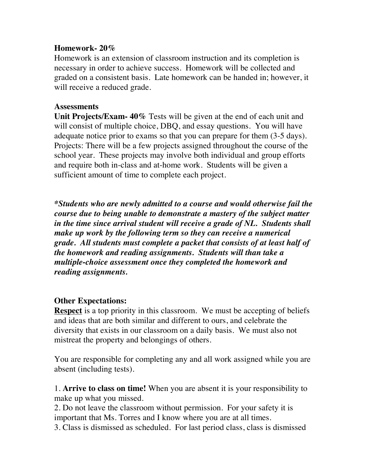### **Homework- 20%**

Homework is an extension of classroom instruction and its completion is necessary in order to achieve success. Homework will be collected and graded on a consistent basis. Late homework can be handed in; however, it will receive a reduced grade.

### **Assessments**

**Unit Projects/Exam- 40%** Tests will be given at the end of each unit and will consist of multiple choice, DBQ, and essay questions. You will have adequate notice prior to exams so that you can prepare for them (3-5 days). Projects: There will be a few projects assigned throughout the course of the school year. These projects may involve both individual and group efforts and require both in-class and at-home work. Students will be given a sufficient amount of time to complete each project.

*\*Students who are newly admitted to a course and would otherwise fail the course due to being unable to demonstrate a mastery of the subject matter in the time since arrival student will receive a grade of NL. Students shall make up work by the following term so they can receive a numerical grade. All students must complete a packet that consists of at least half of the homework and reading assignments. Students will than take a multiple-choice assessment once they completed the homework and reading assignments.* 

## **Other Expectations:**

**Respect** is a top priority in this classroom. We must be accepting of beliefs and ideas that are both similar and different to ours, and celebrate the diversity that exists in our classroom on a daily basis. We must also not mistreat the property and belongings of others.

You are responsible for completing any and all work assigned while you are absent (including tests).

1. **Arrive to class on time!** When you are absent it is your responsibility to make up what you missed.

2. Do not leave the classroom without permission. For your safety it is important that Ms. Torres and I know where you are at all times.

3. Class is dismissed as scheduled. For last period class, class is dismissed